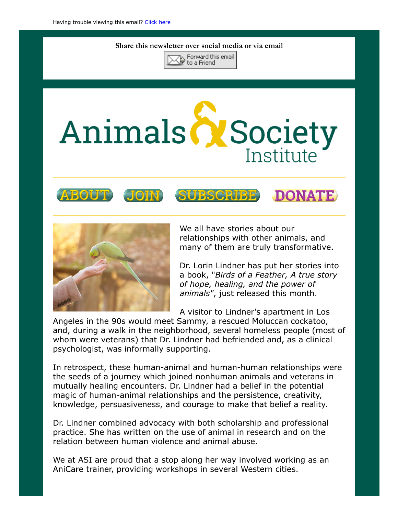## Share this newsletter over social media or via email



## Animals & Society Institute









We all have stories about our relationships with other animals, and many of them are truly transformative.

Dr. Lorin Lindner has put her stories into a book, "Birds of a Feather, A true story of hope, healing, and the power of animals", just released this month.

A visitor to Lindner's apartment in Los

Angeles in the 90s would meet Sammy, a rescued Moluccan cockatoo, and, during a walk in the neighborhood, several homeless people (most of whom were veterans) that Dr. Lindner had befriended and, as a clinical psychologist, was informally supporting.

In retrospect, these human-animal and human-human relationships were the seeds of a journey which joined nonhuman animals and veterans in mutually healing encounters. Dr. Lindner had a belief in the potential magic of human-animal relationships and the persistence, creativity, knowledge, persuasiveness, and courage to make that belief a reality.

Dr. Lindner combined advocacy with both scholarship and professional practice. She has written on the use of animal in research and on the relation between human violence and animal abuse.

We at ASI are proud that a stop along her way involved working as an AniCare trainer, providing workshops in several Western cities.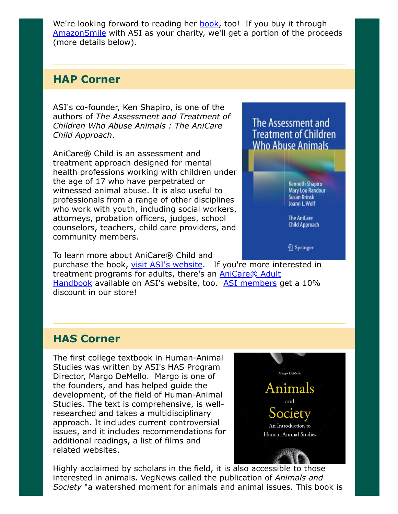We're looking forward to reading her **book**, too! If you buy it through [AmazonSmile](https://smile.amazon.com/ref=smi_ext_ch_22-2527462_dl?_encoding=UTF8&ein=22-2527462&ref_=smi_chpf_redirect&ref_=smi_ext_ch_22-2527462_cl) with ASI as your charity, we'll get a portion of the proceeds (more details below).

## HAP Corner

ASI's co-founder, Ken Shapiro, is one of the authors of The Assessment and Treatment of Children Who Abuse Animals : The AniCare Child Approach.

AniCare® Child is an assessment and treatment approach designed for mental health professions working with children under the age of 17 who have perpetrated or witnessed animal abuse. It is also useful to professionals from a range of other disciplines who work with youth, including social workers, attorneys, probation officers, judges, school counselors, teachers, child care providers, and community members.

The Assessment and **Treatment of Children Who Abuse Animals** 

> **Kenneth Shapiro Mary Lou Randour Susan Krinsk** Joann L. Wolf

**The AniCare** Child Approach

*A* Springer

To learn more about AniCare® Child and

purchase the book, [visit ASI's website.](https://www.animalsandsociety.org/helping-animals-and-people/anicare-child/) If you're more interested in treatment programs for adults, there's an **AniCare® Adult** Handbook available on ASI's website, too. [ASI members](https://www.animalsandsociety.org/join-us/) get a 10% discount in our store!

## HAS Corner

The first college textbook in Human-Animal Studies was written by ASI's HAS Program Director, Margo DeMello. Margo is one of the founders, and has helped guide the development, of the field of Human-Animal Studies. The text is comprehensive, is wellresearched and takes a multidisciplinary approach. It includes current controversial issues, and it includes recommendations for additional readings, a list of films and related websites.



Highly acclaimed by scholars in the field, it is [also accessible to those](https://www.animalsandsociety.org/store/) interested in animals. VegNews called the publication of Animals and Society "a watershed moment for animals and animal issues. This book is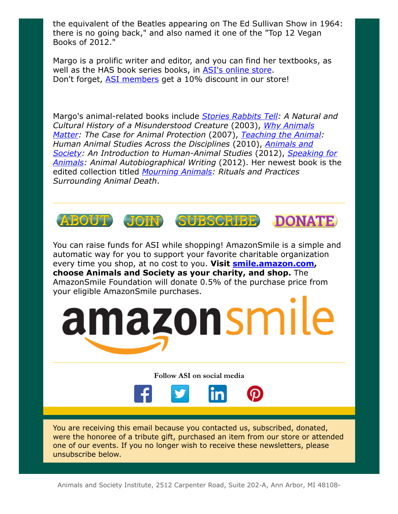the equivalent of the Beatles appearing on The Ed Sullivan Show in 1964: there is no going back," and also named it one of the "Top 12 Vegan Books of 2012."

Margo is a prolific writer and editor, and you can find her textbooks, as well as the HAS book series books, in [ASI's online store](https://squareup.com/market/the-animals-and-society-institute/). Don't forget, [ASI members](https://www.animalsandsociety.org/join-us/) get a 10% discount in our store!

Margo's animal-related books include **[Stories Rabbits Tell](https://smile.amazon.com/Stories-Rabbits-Tell-Margo-DeMello-ebook/dp/B007PS8I40/ref=sr_1_1?s=books&ie=UTF8&qid=1528231495&sr=1-1&keywords=Stories+Rabbits+Tell%3A+A+Natural+and+Cultural+History+of+a+Misunderstood+Creature):** A Natural and [Cultural History of a Misunderstood Creature](https://smile.amazon.com/Why-Animals-Matter-Protection-Paperback/dp/B015QL63SA/ref=sr_1_2?s=books&ie=UTF8&qid=1528231553&sr=1-2&keywords=Why+Animals+Matter%3A+The+Case+for+Animal+Protection) (2003), Why Animals Matter: The Case for Animal Protection (2007), [Teaching the Animal](https://squareup.com/market/the-animals-and-society-institute/item/teaching-the-animal): Human Animal Studies Across the Disciplines (2010), Animals and [Society: An Introduction to Human-Animal Studies](https://squareup.com/market/the-animals-and-society-institute/item/animals-and-society-textbook) (2012), Speaking for Animals: Animal Autobiographical Writing (2012). Her newest book is the edited collection titled [Mourning Animals](https://smile.amazon.com/Mourning-Animals-Rituals-Practices-Surrounding-ebook/dp/B01GG7CJ6I/ref=sr_1_1?s=books&ie=UTF8&qid=1528231772&sr=1-1&keywords=Mourning+Animals%3A+Rituals+and+Practices+Surrounding+Animal+Death): Rituals and Practices Surrounding Animal Death.



You can raise funds for ASI while shopping! AmazonSmile is a simple and automatic way for you to support your favorite charitable organization every time you shop, at no cost to you. Visit **smile.amazon.com,** choose Animals and Society as your charity, and shop. The AmazonSmile Foundation will donate 0.5% of the purchase price from your eligible AmazonSmile purchases.



Follow ASI on social media



You are receiving this email because you contacted us, subscribed, donated, were the honoree of a tribute gift, purchased an item from our store or attended one of our events. If you no longer wish to receive these newsletters, please unsubscribe below.